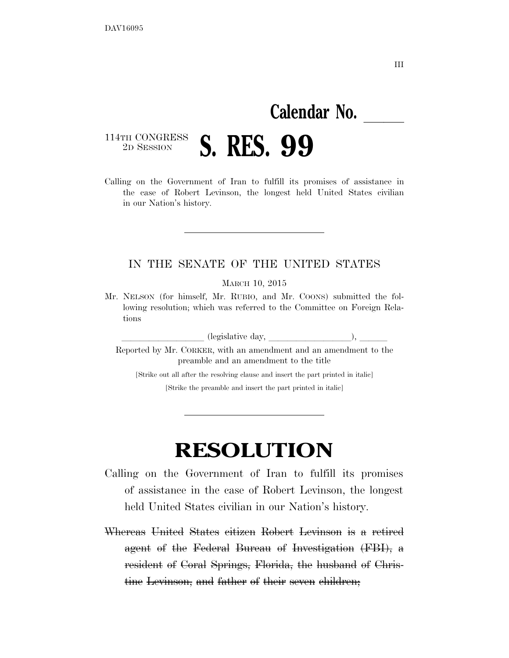## **Calendar No.**

## 114TH CONGRESS<br>2D SESSION 2D SESSION **S. RES. 99**

Calling on the Government of Iran to fulfill its promises of assistance in the case of Robert Levinson, the longest held United States civilian in our Nation's history.

## IN THE SENATE OF THE UNITED STATES

MARCH 10, 2015

Mr. NELSON (for himself, Mr. RUBIO, and Mr. COONS) submitted the following resolution; which was referred to the Committee on Foreign Relations

lllllllll (legislative day, lllllllll), lll

Reported by Mr. CORKER, with an amendment and an amendment to the preamble and an amendment to the title

[Strike out all after the resolving clause and insert the part printed in italic] [Strike the preamble and insert the part printed in italic]

## **RESOLUTION**

- Calling on the Government of Iran to fulfill its promises of assistance in the case of Robert Levinson, the longest held United States civilian in our Nation's history.
- Whereas United States citizen Robert Levinson is a retired agent of the Federal Bureau of Investigation (FBI), a resident of Coral Springs, Florida, the husband of Christine Levinson, and father of their seven children;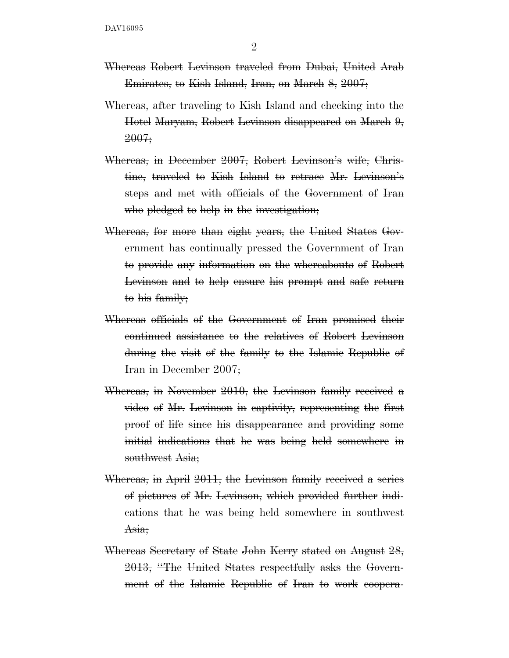- Whereas Robert Levinson traveled from Dubai, United Arab Emirates, to Kish Island, Iran, on March 8, 2007;
- Whereas, after traveling to Kish Island and checking into the Hotel Maryam, Robert Levinson disappeared on March 9, 2007;
- Whereas, in December 2007, Robert Levinson's wife, Christine, traveled to Kish Island to retrace Mr. Levinson's steps and met with officials of the Government of Iran who pledged to help in the investigation;
- Whereas, for more than eight years, the United States Government has continually pressed the Government of Iran to provide any information on the whereabouts of Robert Levinson and to help ensure his prompt and safe return to his family;
- Whereas officials of the Government of Iran promised their continued assistance to the relatives of Robert Levinson during the visit of the family to the Islamic Republic of Iran in December 2007;
- Whereas, in November 2010, the Levinson family received a video of Mr. Levinson in captivity, representing the first proof of life since his disappearance and providing some initial indications that he was being held somewhere in southwest Asia;
- Whereas, in April 2011, the Levinson family received a series of pictures of Mr. Levinson, which provided further indications that he was being held somewhere in southwest Asia;
- Whereas Secretary of State John Kerry stated on August 28, 2013, ''The United States respectfully asks the Government of the Islamic Republic of Iran to work coopera-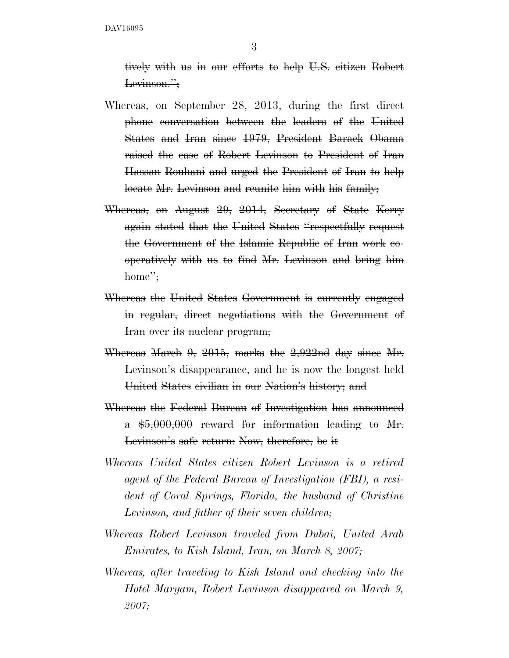DAV16095

3

tively with us in our efforts to help U.S. citizen Robert Levinson.";

- Whereas, on September 28, 2013, during the first direct phone conversation between the leaders of the United States and Iran since 1979, President Barack Obama raised the case of Robert Levinson to President of Iran Hassan Rouhani and urged the President of Iran to help locate Mr. Levinson and reunite him with his family;
- Whereas, on August 29, 2014, Secretary of State Kerry again stated that the United States ''respectfully request the Government of the Islamic Republic of Iran work cooperatively with us to find Mr. Levinson and bring him home":
- Whereas the United States Government is currently engaged in regular, direct negotiations with the Government of Iran over its nuclear program;
- Whereas March 9, 2015, marks the 2,922nd day since Mr. Levinson's disappearance, and he is now the longest held United States civilian in our Nation's history; and
- Whereas the Federal Bureau of Investigation has announced a \$5,000,000 reward for information leading to Mr. Levinson's safe return: Now, therefore, be it
- *Whereas United States citizen Robert Levinson is a retired agent of the Federal Bureau of Investigation (FBI), a resident of Coral Springs, Florida, the husband of Christine Levinson, and father of their seven children;*
- *Whereas Robert Levinson traveled from Dubai, United Arab Emirates, to Kish Island, Iran, on March 8, 2007;*
- *Whereas, after traveling to Kish Island and checking into the Hotel Maryam, Robert Levinson disappeared on March 9, 2007;*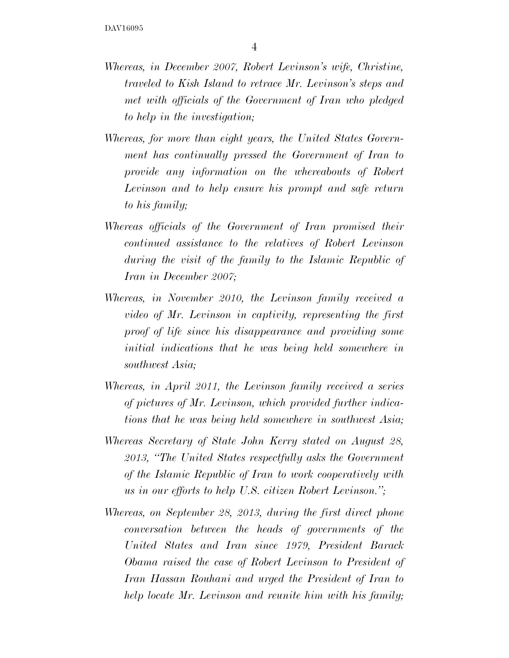- *Whereas, in December 2007, Robert Levinson's wife, Christine, traveled to Kish Island to retrace Mr. Levinson's steps and met with officials of the Government of Iran who pledged to help in the investigation;*
- *Whereas, for more than eight years, the United States Government has continually pressed the Government of Iran to provide any information on the whereabouts of Robert Levinson and to help ensure his prompt and safe return to his family;*
- *Whereas officials of the Government of Iran promised their continued assistance to the relatives of Robert Levinson during the visit of the family to the Islamic Republic of Iran in December 2007;*
- *Whereas, in November 2010, the Levinson family received a video of Mr. Levinson in captivity, representing the first proof of life since his disappearance and providing some initial indications that he was being held somewhere in southwest Asia;*
- *Whereas, in April 2011, the Levinson family received a series of pictures of Mr. Levinson, which provided further indications that he was being held somewhere in southwest Asia;*
- *Whereas Secretary of State John Kerry stated on August 28, 2013, ''The United States respectfully asks the Government of the Islamic Republic of Iran to work cooperatively with us in our efforts to help U.S. citizen Robert Levinson.'';*
- *Whereas, on September 28, 2013, during the first direct phone conversation between the heads of governments of the United States and Iran since 1979, President Barack Obama raised the case of Robert Levinson to President of Iran Hassan Rouhani and urged the President of Iran to help locate Mr. Levinson and reunite him with his family;*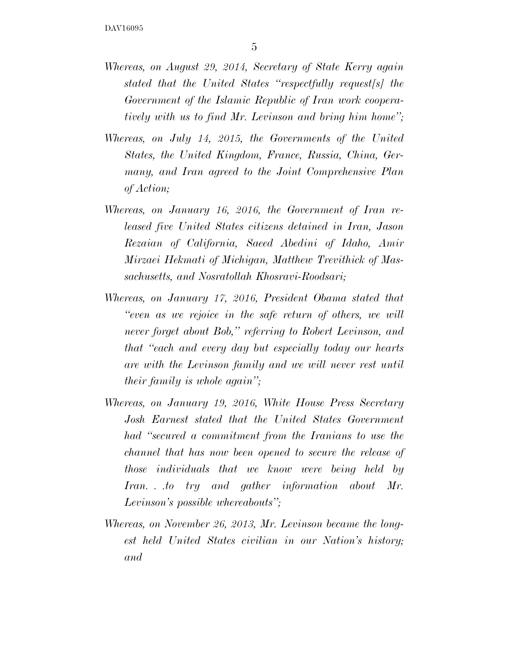- *Whereas, on August 29, 2014, Secretary of State Kerry again stated that the United States ''respectfully request[s] the Government of the Islamic Republic of Iran work cooperatively with us to find Mr. Levinson and bring him home'';*
- *Whereas, on July 14, 2015, the Governments of the United States, the United Kingdom, France, Russia, China, Germany, and Iran agreed to the Joint Comprehensive Plan of Action;*
- *Whereas, on January 16, 2016, the Government of Iran released five United States citizens detained in Iran, Jason Rezaian of California, Saeed Abedini of Idaho, Amir Mirzaei Hekmati of Michigan, Matthew Trevithick of Massachusetts, and Nosratollah Khosravi-Roodsari;*
- *Whereas, on January 17, 2016, President Obama stated that ''even as we rejoice in the safe return of others, we will never forget about Bob,'' referring to Robert Levinson, and that ''each and every day but especially today our hearts are with the Levinson family and we will never rest until their family is whole again'';*
- *Whereas, on January 19, 2016, White House Press Secretary Josh Earnest stated that the United States Government had ''secured a commitment from the Iranians to use the channel that has now been opened to secure the release of those individuals that we know were being held by Iran. . .to try and gather information about Mr. Levinson's possible whereabouts'';*
- *Whereas, on November 26, 2013, Mr. Levinson became the longest held United States civilian in our Nation's history; and*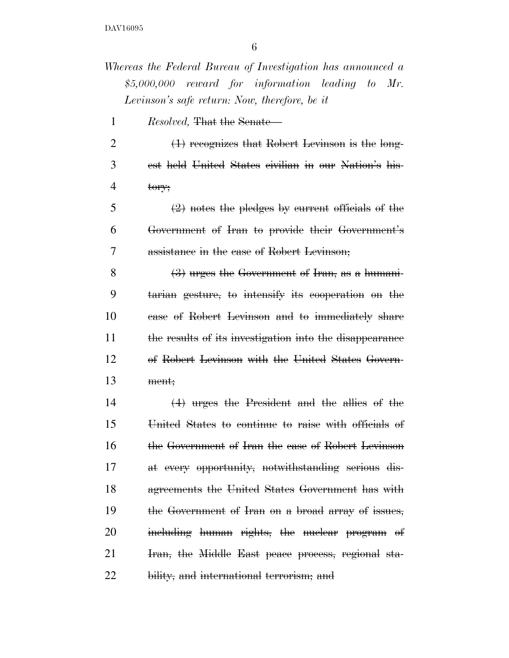*Whereas the Federal Bureau of Investigation has announced a \$5,000,000 reward for information leading to Mr. Levinson's safe return: Now, therefore, be it* 

*Resolved,* That the Senate—

2 (1) recognizes that Robert Levinson is the long- est held United States civilian in our Nation's his- $4 \text{ tory};$ 

 $5 \left(2\right)$  notes the pledges by current officials of the Government of Iran to provide their Government's assistance in the case of Robert Levinson;

 $(3)$  urges the Government of Iran, as a humani- tarian gesture, to intensify its cooperation on the case of Robert Levinson and to immediately share the results of its investigation into the disappearance of Robert Levinson with the United States Govern-ment;

 (4) urges the President and the allies of the United States to continue to raise with officials of the Government of Iran the case of Robert Levinson at every opportunity, notwithstanding serious dis- agreements the United States Government has with the Government of Iran on a broad array of issues, 20 including human rights, the nuclear program of Iran, the Middle East peace process, regional sta-22 bility, and international terrorism; and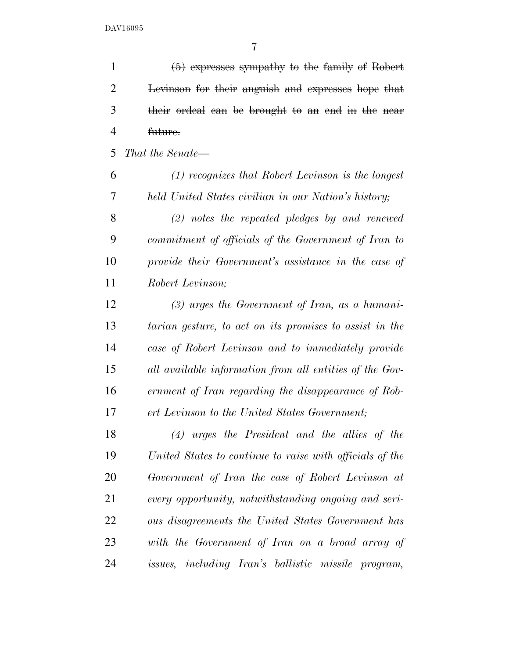| $\mathbf{1}$   | $(5)$ expresses sympathy to the family of Robert         |
|----------------|----------------------------------------------------------|
| $\overline{2}$ | Levinson for their anguish and expresses hope that       |
| 3              | their ordeal can be brought to an end in the near        |
| $\overline{4}$ | future.                                                  |
| 5              | That the Senate—                                         |
| 6              | $(1)$ recognizes that Robert Levinson is the longest     |
| 7              | held United States civilian in our Nation's history;     |
| 8              | $(2)$ notes the repeated pledges by and renewed          |
| 9              | commitment of officials of the Government of Iran to     |
| 10             | provide their Government's assistance in the case of     |
| 11             | Robert Levinson;                                         |
| 12             | $(3)$ urges the Government of Iran, as a humani-         |
| 13             | tarian gesture, to act on its promises to assist in the  |
| 14             | case of Robert Levinson and to immediately provide       |
| 15             | all available information from all entities of the Gov-  |
| 16             | ernment of Iran regarding the disappearance of Rob-      |
| 17             | ert Levinson to the United States Government;            |
| 18             | $(4)$ urges the President and the allies of the          |
| 19             | United States to continue to raise with officials of the |
| 20             | Government of Iran the case of Robert Levinson at        |
| 21             | every opportunity, notwithstanding ongoing and seri-     |
| 22             | ous disagreements the United States Government has       |
| 23             | with the Government of Iran on a broad array of          |
| 24             | issues, including Iran's ballistic missile program,      |